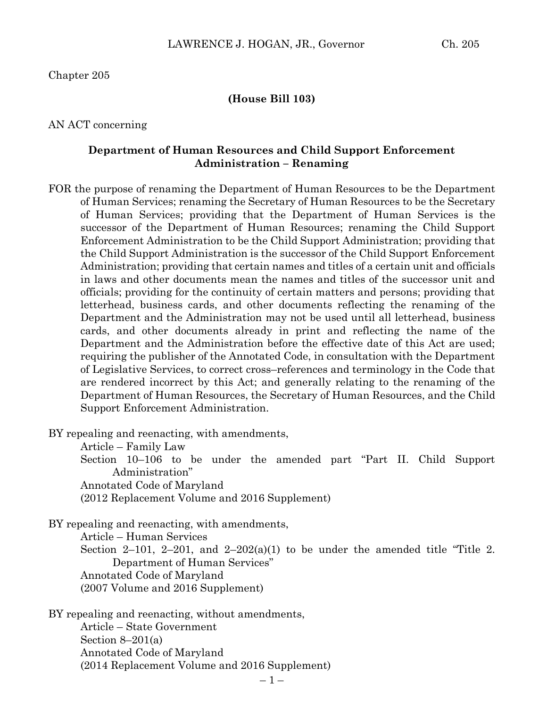Chapter 205

#### **(House Bill 103)**

AN ACT concerning

### **Department of Human Resources and Child Support Enforcement Administration – Renaming**

FOR the purpose of renaming the Department of Human Resources to be the Department of Human Services; renaming the Secretary of Human Resources to be the Secretary of Human Services; providing that the Department of Human Services is the successor of the Department of Human Resources; renaming the Child Support Enforcement Administration to be the Child Support Administration; providing that the Child Support Administration is the successor of the Child Support Enforcement Administration; providing that certain names and titles of a certain unit and officials in laws and other documents mean the names and titles of the successor unit and officials; providing for the continuity of certain matters and persons; providing that letterhead, business cards, and other documents reflecting the renaming of the Department and the Administration may not be used until all letterhead, business cards, and other documents already in print and reflecting the name of the Department and the Administration before the effective date of this Act are used; requiring the publisher of the Annotated Code, in consultation with the Department of Legislative Services, to correct cross–references and terminology in the Code that are rendered incorrect by this Act; and generally relating to the renaming of the Department of Human Resources, the Secretary of Human Resources, and the Child Support Enforcement Administration.

BY repealing and reenacting, with amendments,

Article – Family Law

Section 10–106 to be under the amended part "Part II. Child Support Administration"

Annotated Code of Maryland

(2012 Replacement Volume and 2016 Supplement)

BY repealing and reenacting, with amendments,

Article – Human Services

Section 2–101, 2–201, and 2–202(a)(1) to be under the amended title "Title 2. Department of Human Services" Annotated Code of Maryland

(2007 Volume and 2016 Supplement)

BY repealing and reenacting, without amendments, Article – State Government Section  $8-201(a)$ Annotated Code of Maryland (2014 Replacement Volume and 2016 Supplement)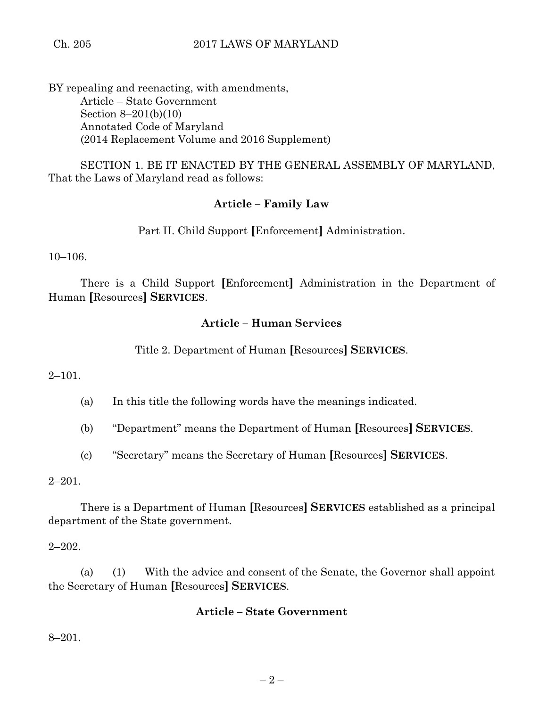BY repealing and reenacting, with amendments, Article – State Government Section 8–201(b)(10) Annotated Code of Maryland (2014 Replacement Volume and 2016 Supplement)

SECTION 1. BE IT ENACTED BY THE GENERAL ASSEMBLY OF MARYLAND, That the Laws of Maryland read as follows:

## **Article – Family Law**

Part II. Child Support **[**Enforcement**]** Administration.

10–106.

There is a Child Support **[**Enforcement**]** Administration in the Department of Human **[**Resources**] SERVICES**.

# **Article – Human Services**

Title 2. Department of Human **[**Resources**] SERVICES**.

2–101.

(a) In this title the following words have the meanings indicated.

(b) "Department" means the Department of Human **[**Resources**] SERVICES**.

(c) "Secretary" means the Secretary of Human **[**Resources**] SERVICES**.

 $2 - 201.$ 

There is a Department of Human **[**Resources**] SERVICES** established as a principal department of the State government.

2–202.

(a) (1) With the advice and consent of the Senate, the Governor shall appoint the Secretary of Human **[**Resources**] SERVICES**.

## **Article – State Government**

8–201.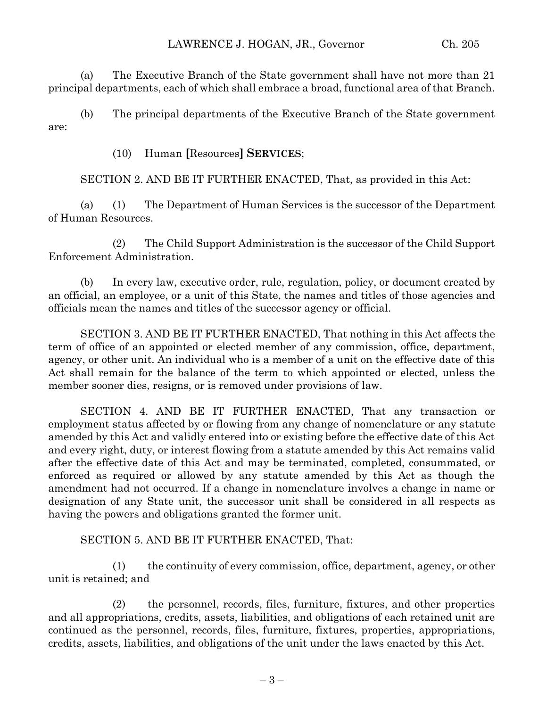(a) The Executive Branch of the State government shall have not more than 21 principal departments, each of which shall embrace a broad, functional area of that Branch.

(b) The principal departments of the Executive Branch of the State government are:

(10) Human **[**Resources**] SERVICES**;

SECTION 2. AND BE IT FURTHER ENACTED, That, as provided in this Act:

(a) (1) The Department of Human Services is the successor of the Department of Human Resources.

(2) The Child Support Administration is the successor of the Child Support Enforcement Administration.

(b) In every law, executive order, rule, regulation, policy, or document created by an official, an employee, or a unit of this State, the names and titles of those agencies and officials mean the names and titles of the successor agency or official.

SECTION 3. AND BE IT FURTHER ENACTED, That nothing in this Act affects the term of office of an appointed or elected member of any commission, office, department, agency, or other unit. An individual who is a member of a unit on the effective date of this Act shall remain for the balance of the term to which appointed or elected, unless the member sooner dies, resigns, or is removed under provisions of law.

SECTION 4. AND BE IT FURTHER ENACTED, That any transaction or employment status affected by or flowing from any change of nomenclature or any statute amended by this Act and validly entered into or existing before the effective date of this Act and every right, duty, or interest flowing from a statute amended by this Act remains valid after the effective date of this Act and may be terminated, completed, consummated, or enforced as required or allowed by any statute amended by this Act as though the amendment had not occurred. If a change in nomenclature involves a change in name or designation of any State unit, the successor unit shall be considered in all respects as having the powers and obligations granted the former unit.

SECTION 5. AND BE IT FURTHER ENACTED, That:

(1) the continuity of every commission, office, department, agency, or other unit is retained; and

(2) the personnel, records, files, furniture, fixtures, and other properties and all appropriations, credits, assets, liabilities, and obligations of each retained unit are continued as the personnel, records, files, furniture, fixtures, properties, appropriations, credits, assets, liabilities, and obligations of the unit under the laws enacted by this Act.